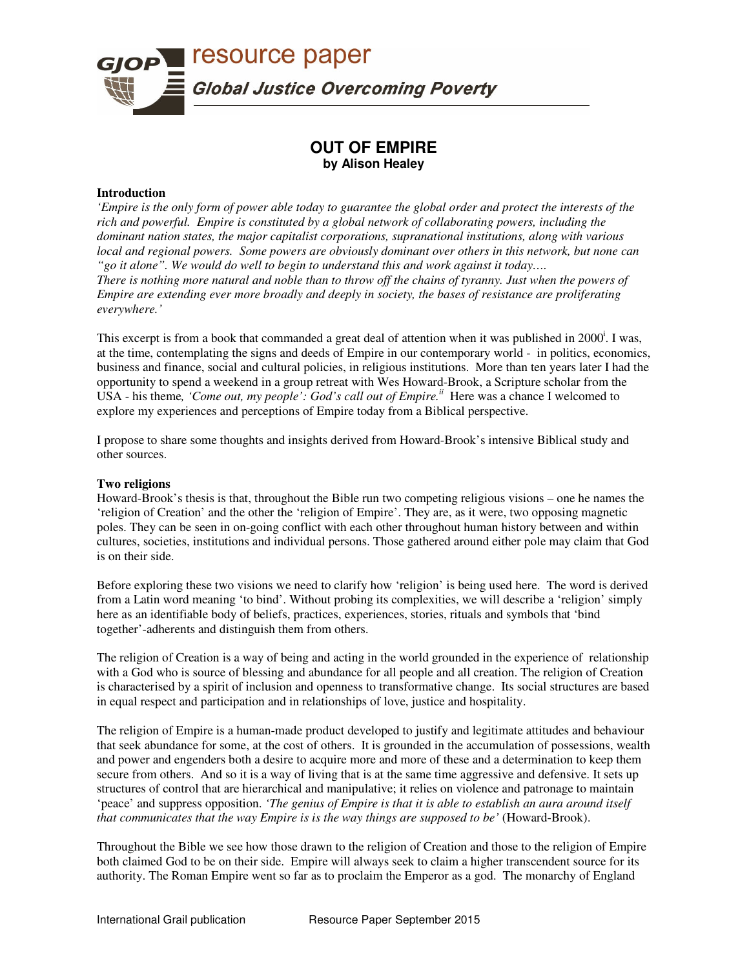

# **OUT OF EMPIRE by Alison Healey**

## **Introduction**

*'Empire is the only form of power able today to guarantee the global order and protect the interests of the rich and powerful. Empire is constituted by a global network of collaborating powers, including the dominant nation states, the major capitalist corporations, supranational institutions, along with various local and regional powers. Some powers are obviously dominant over others in this network, but none can "go it alone". We would do well to begin to understand this and work against it today…. There is nothing more natural and noble than to throw off the chains of tyranny. Just when the powers of Empire are extending ever more broadly and deeply in society, the bases of resistance are proliferating everywhere.'*

This excerpt is from a book that commanded a great deal of attention when it was published in 2000<sup>i</sup>. I was, at the time, contemplating the signs and deeds of Empire in our contemporary world - in politics, economics, business and finance, social and cultural policies, in religious institutions. More than ten years later I had the opportunity to spend a weekend in a group retreat with Wes Howard-Brook, a Scripture scholar from the USA - his theme, 'Come out, my people': God's call out of Empire.<sup>*ii*</sup> Here was a chance I welcomed to explore my experiences and perceptions of Empire today from a Biblical perspective.

I propose to share some thoughts and insights derived from Howard-Brook's intensive Biblical study and other sources.

## **Two religions**

Howard-Brook's thesis is that, throughout the Bible run two competing religious visions – one he names the 'religion of Creation' and the other the 'religion of Empire'. They are, as it were, two opposing magnetic poles. They can be seen in on-going conflict with each other throughout human history between and within cultures, societies, institutions and individual persons. Those gathered around either pole may claim that God is on their side.

Before exploring these two visions we need to clarify how 'religion' is being used here. The word is derived from a Latin word meaning 'to bind'. Without probing its complexities, we will describe a 'religion' simply here as an identifiable body of beliefs, practices, experiences, stories, rituals and symbols that 'bind together'-adherents and distinguish them from others.

The religion of Creation is a way of being and acting in the world grounded in the experience of relationship with a God who is source of blessing and abundance for all people and all creation. The religion of Creation is characterised by a spirit of inclusion and openness to transformative change. Its social structures are based in equal respect and participation and in relationships of love, justice and hospitality.

The religion of Empire is a human-made product developed to justify and legitimate attitudes and behaviour that seek abundance for some, at the cost of others. It is grounded in the accumulation of possessions, wealth and power and engenders both a desire to acquire more and more of these and a determination to keep them secure from others. And so it is a way of living that is at the same time aggressive and defensive. It sets up structures of control that are hierarchical and manipulative; it relies on violence and patronage to maintain 'peace' and suppress opposition. *'The genius of Empire is that it is able to establish an aura around itself that communicates that the way Empire is is the way things are supposed to be'* (Howard-Brook).

Throughout the Bible we see how those drawn to the religion of Creation and those to the religion of Empire both claimed God to be on their side. Empire will always seek to claim a higher transcendent source for its authority. The Roman Empire went so far as to proclaim the Emperor as a god. The monarchy of England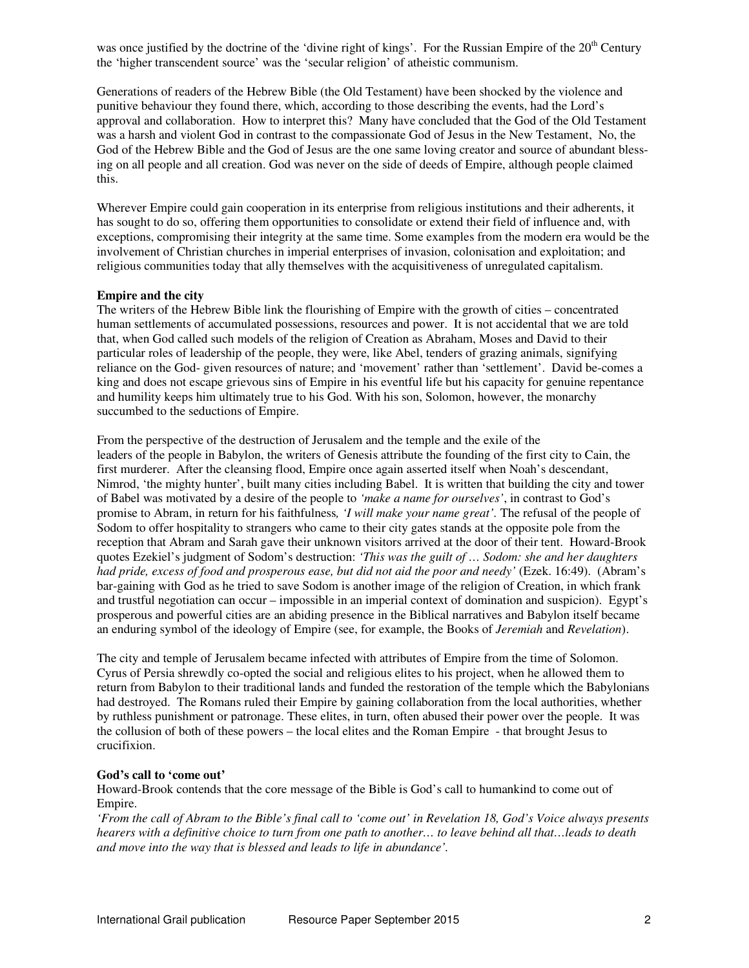was once justified by the doctrine of the 'divine right of kings'. For the Russian Empire of the  $20<sup>th</sup>$  Century the 'higher transcendent source' was the 'secular religion' of atheistic communism.

Generations of readers of the Hebrew Bible (the Old Testament) have been shocked by the violence and punitive behaviour they found there, which, according to those describing the events, had the Lord's approval and collaboration. How to interpret this? Many have concluded that the God of the Old Testament was a harsh and violent God in contrast to the compassionate God of Jesus in the New Testament, No, the God of the Hebrew Bible and the God of Jesus are the one same loving creator and source of abundant blessing on all people and all creation. God was never on the side of deeds of Empire, although people claimed this.

Wherever Empire could gain cooperation in its enterprise from religious institutions and their adherents, it has sought to do so, offering them opportunities to consolidate or extend their field of influence and, with exceptions, compromising their integrity at the same time. Some examples from the modern era would be the involvement of Christian churches in imperial enterprises of invasion, colonisation and exploitation; and religious communities today that ally themselves with the acquisitiveness of unregulated capitalism.

## **Empire and the city**

The writers of the Hebrew Bible link the flourishing of Empire with the growth of cities – concentrated human settlements of accumulated possessions, resources and power. It is not accidental that we are told that, when God called such models of the religion of Creation as Abraham, Moses and David to their particular roles of leadership of the people, they were, like Abel, tenders of grazing animals, signifying reliance on the God- given resources of nature; and 'movement' rather than 'settlement'. David be-comes a king and does not escape grievous sins of Empire in his eventful life but his capacity for genuine repentance and humility keeps him ultimately true to his God. With his son, Solomon, however, the monarchy succumbed to the seductions of Empire.

From the perspective of the destruction of Jerusalem and the temple and the exile of the leaders of the people in Babylon, the writers of Genesis attribute the founding of the first city to Cain, the first murderer. After the cleansing flood, Empire once again asserted itself when Noah's descendant, Nimrod, 'the mighty hunter', built many cities including Babel. It is written that building the city and tower of Babel was motivated by a desire of the people to *'make a name for ourselves'*, in contrast to God's promise to Abram, in return for his faithfulness*, 'I will make your name great'.* The refusal of the people of Sodom to offer hospitality to strangers who came to their city gates stands at the opposite pole from the reception that Abram and Sarah gave their unknown visitors arrived at the door of their tent. Howard-Brook quotes Ezekiel's judgment of Sodom's destruction: *'This was the guilt of … Sodom: she and her daughters had pride, excess of food and prosperous ease, but did not aid the poor and needy'* (Ezek. 16:49). (Abram's bar-gaining with God as he tried to save Sodom is another image of the religion of Creation, in which frank and trustful negotiation can occur – impossible in an imperial context of domination and suspicion). Egypt's prosperous and powerful cities are an abiding presence in the Biblical narratives and Babylon itself became an enduring symbol of the ideology of Empire (see, for example, the Books of *Jeremiah* and *Revelation*).

The city and temple of Jerusalem became infected with attributes of Empire from the time of Solomon. Cyrus of Persia shrewdly co-opted the social and religious elites to his project, when he allowed them to return from Babylon to their traditional lands and funded the restoration of the temple which the Babylonians had destroyed. The Romans ruled their Empire by gaining collaboration from the local authorities, whether by ruthless punishment or patronage. These elites, in turn, often abused their power over the people. It was the collusion of both of these powers – the local elites and the Roman Empire - that brought Jesus to crucifixion.

#### **God's call to 'come out'**

Howard-Brook contends that the core message of the Bible is God's call to humankind to come out of Empire.

*'From the call of Abram to the Bible's final call to 'come out' in Revelation 18, God's Voice always presents hearers with a definitive choice to turn from one path to another… to leave behind all that…leads to death and move into the way that is blessed and leads to life in abundance'.*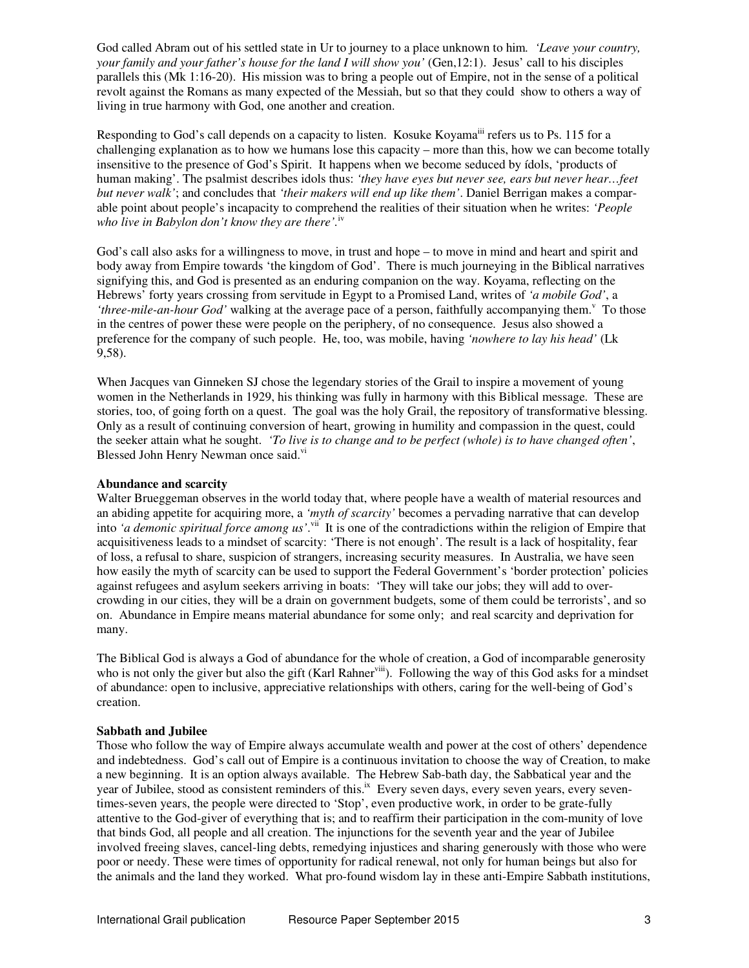God called Abram out of his settled state in Ur to journey to a place unknown to him*. 'Leave your country, your family and your father's house for the land I will show you'* (Gen,12:1). Jesus' call to his disciples parallels this (Mk 1:16-20). His mission was to bring a people out of Empire, not in the sense of a political revolt against the Romans as many expected of the Messiah, but so that they could show to others a way of living in true harmony with God, one another and creation.

Responding to God's call depends on a capacity to listen. Kosuke Koyama<sup>iii</sup> refers us to Ps. 115 for a challenging explanation as to how we humans lose this capacity – more than this, how we can become totally insensitive to the presence of God's Spirit. It happens when we become seduced by ídols, 'products of human making'. The psalmist describes idols thus: *'they have eyes but never see, ears but never hear…feet but never walk'*; and concludes that *'their makers will end up like them'*. Daniel Berrigan makes a comparable point about people's incapacity to comprehend the realities of their situation when he writes: *'People who live in Babylon don't know they are there'.*iv

God's call also asks for a willingness to move, in trust and hope – to move in mind and heart and spirit and body away from Empire towards 'the kingdom of God'. There is much journeying in the Biblical narratives signifying this, and God is presented as an enduring companion on the way. Koyama, reflecting on the Hebrews' forty years crossing from servitude in Egypt to a Promised Land, writes of *'a mobile God'*, a 'three-mile-an-hour God' walking at the average pace of a person, faithfully accompanying them.<sup>v</sup> To those in the centres of power these were people on the periphery, of no consequence. Jesus also showed a preference for the company of such people. He, too, was mobile, having *'nowhere to lay his head'* (Lk 9,58).

When Jacques van Ginneken SJ chose the legendary stories of the Grail to inspire a movement of young women in the Netherlands in 1929, his thinking was fully in harmony with this Biblical message. These are stories, too, of going forth on a quest. The goal was the holy Grail, the repository of transformative blessing. Only as a result of continuing conversion of heart, growing in humility and compassion in the quest, could the seeker attain what he sought. *'To live is to change and to be perfect (whole) is to have changed often'*, Blessed John Henry Newman once said.<sup>vi</sup>

## **Abundance and scarcity**

Walter Brueggeman observes in the world today that, where people have a wealth of material resources and an abiding appetite for acquiring more, a *'myth of scarcity'* becomes a pervading narrative that can develop into 'a demonic spiritual force among us'.<sup>vii</sup> It is one of the contradictions within the religion of Empire that acquisitiveness leads to a mindset of scarcity: 'There is not enough'. The result is a lack of hospitality, fear of loss, a refusal to share, suspicion of strangers, increasing security measures. In Australia, we have seen how easily the myth of scarcity can be used to support the Federal Government's 'border protection' policies against refugees and asylum seekers arriving in boats: 'They will take our jobs; they will add to overcrowding in our cities, they will be a drain on government budgets, some of them could be terrorists', and so on. Abundance in Empire means material abundance for some only; and real scarcity and deprivation for many.

The Biblical God is always a God of abundance for the whole of creation, a God of incomparable generosity who is not only the giver but also the gift (Karl Rahner<sup>viii</sup>). Following the way of this God asks for a mindset of abundance: open to inclusive, appreciative relationships with others, caring for the well-being of God's creation.

#### **Sabbath and Jubilee**

Those who follow the way of Empire always accumulate wealth and power at the cost of others' dependence and indebtedness. God's call out of Empire is a continuous invitation to choose the way of Creation, to make a new beginning. It is an option always available. The Hebrew Sab-bath day, the Sabbatical year and the year of Jubilee, stood as consistent reminders of this.<sup>ix</sup> Every seven days, every seven years, every seventimes-seven years, the people were directed to 'Stop', even productive work, in order to be grate-fully attentive to the God-giver of everything that is; and to reaffirm their participation in the com-munity of love that binds God, all people and all creation. The injunctions for the seventh year and the year of Jubilee involved freeing slaves, cancel-ling debts, remedying injustices and sharing generously with those who were poor or needy. These were times of opportunity for radical renewal, not only for human beings but also for the animals and the land they worked. What pro-found wisdom lay in these anti-Empire Sabbath institutions,